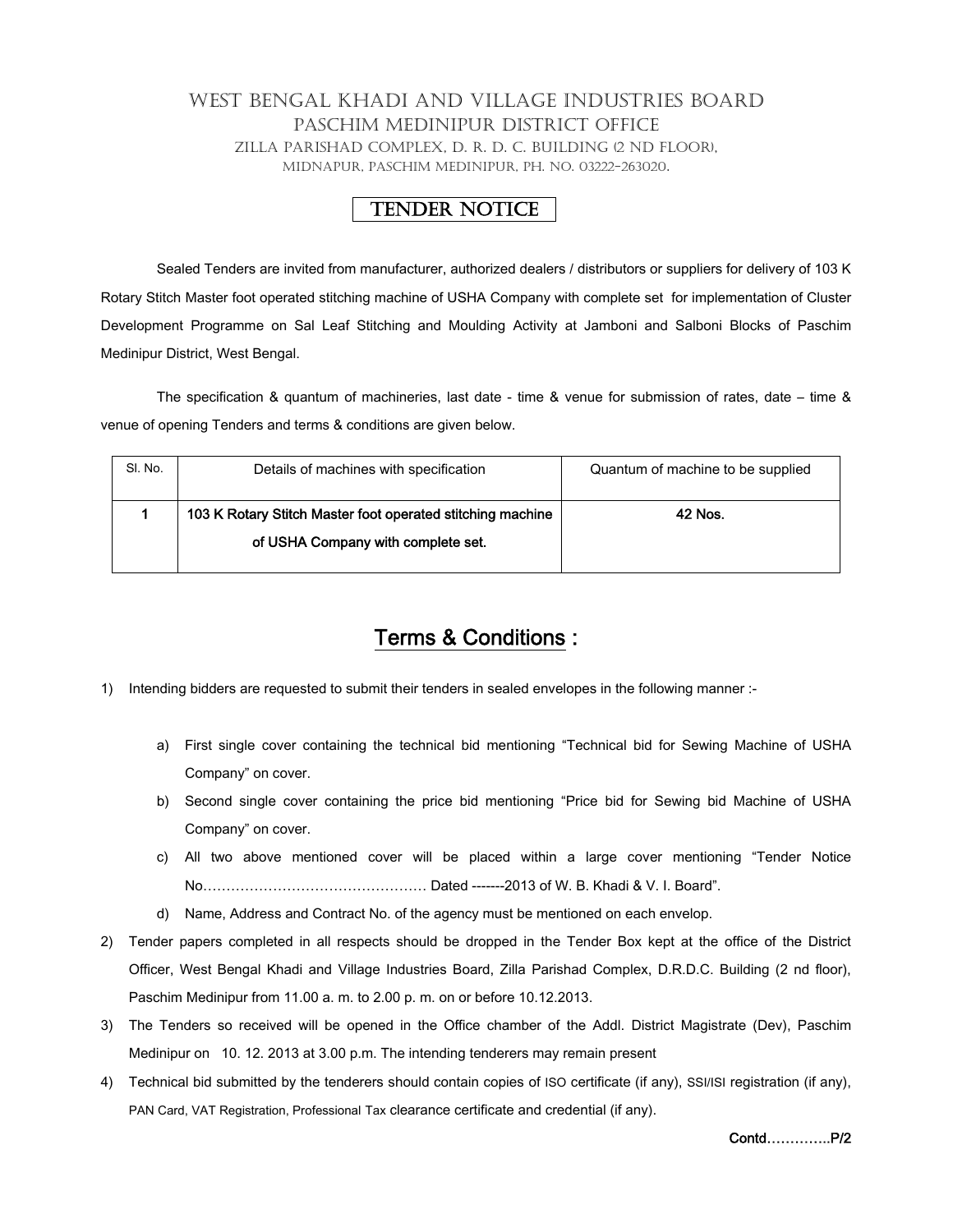## WEST BENGAL KHADI AND VILLAGE INDUSTRIES BOARD PASCHIM MEDINIPUR DISTRICT OFFICE ZILLA PARISHAD COMPLEX, D. R. D. C. BUILDING (2 ND FLOOR), MIDNAPUR, PASCHIM MEDINIPUR, PH. NO. 03222-263020.

## TENDER NOTICE

Sealed Tenders are invited from manufacturer, authorized dealers / distributors or suppliers for delivery of 103 K Rotary Stitch Master foot operated stitching machine of USHA Company with complete set for implementation of Cluster Development Programme on Sal Leaf Stitching and Moulding Activity at Jamboni and Salboni Blocks of Paschim Medinipur District, West Bengal.

The specification & quantum of machineries, last date - time & venue for submission of rates, date – time & venue of opening Tenders and terms & conditions are given below.

| SI. No. | Details of machines with specification                     | Quantum of machine to be supplied |  |
|---------|------------------------------------------------------------|-----------------------------------|--|
|         | 103 K Rotary Stitch Master foot operated stitching machine | 42 Nos.                           |  |
|         | of USHA Company with complete set.                         |                                   |  |
|         |                                                            |                                   |  |

## Terms & Conditions :

- 1) Intending bidders are requested to submit their tenders in sealed envelopes in the following manner :
	- a) First single cover containing the technical bid mentioning "Technical bid for Sewing Machine of USHA Company" on cover.
	- b) Second single cover containing the price bid mentioning "Price bid for Sewing bid Machine of USHA Company" on cover.
	- c) All two above mentioned cover will be placed within a large cover mentioning "Tender Notice No………………………………………… Dated -------2013 of W. B. Khadi & V. I. Board".
	- d) Name, Address and Contract No. of the agency must be mentioned on each envelop.
- 2) Tender papers completed in all respects should be dropped in the Tender Box kept at the office of the District Officer, West Bengal Khadi and Village Industries Board, Zilla Parishad Complex, D.R.D.C. Building (2 nd floor), Paschim Medinipur from 11.00 a. m. to 2.00 p. m. on or before 10.12.2013.
- 3) The Tenders so received will be opened in the Office chamber of the Addl. District Magistrate (Dev), Paschim Medinipur on 10. 12. 2013 at 3.00 p.m. The intending tenderers may remain present
- 4) Technical bid submitted by the tenderers should contain copies of ISO certificate (if any), SSI/ISI registration (if any), PAN Card, VAT Registration, Professional Tax clearance certificate and credential (if any).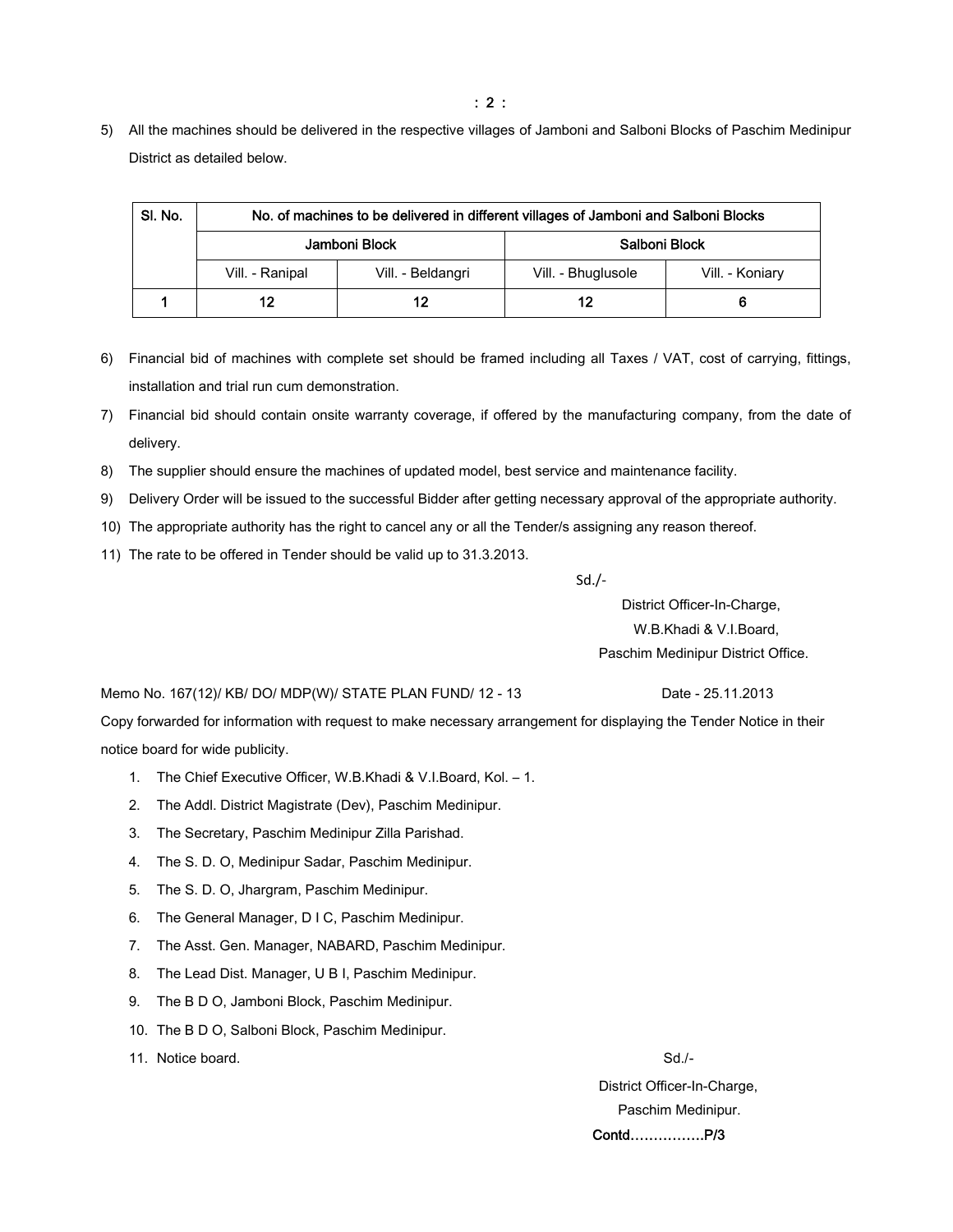5) All the machines should be delivered in the respective villages of Jamboni and Salboni Blocks of Paschim Medinipur District as detailed below.

| SI. No. | No. of machines to be delivered in different villages of Jamboni and Salboni Blocks |                   |                    |                 |  |
|---------|-------------------------------------------------------------------------------------|-------------------|--------------------|-----------------|--|
|         | Jamboni Block                                                                       |                   | Salboni Block      |                 |  |
|         | Vill. - Ranipal                                                                     | Vill. - Beldangri | Vill. - Bhuglusole | Vill. - Koniary |  |
|         | 12                                                                                  | 12                | 12                 | 6               |  |

- 6) Financial bid of machines with complete set should be framed including all Taxes / VAT, cost of carrying, fittings, installation and trial run cum demonstration.
- 7) Financial bid should contain onsite warranty coverage, if offered by the manufacturing company, from the date of delivery.
- 8) The supplier should ensure the machines of updated model, best service and maintenance facility.
- 9) Delivery Order will be issued to the successful Bidder after getting necessary approval of the appropriate authority.
- 10) The appropriate authority has the right to cancel any or all the Tender/s assigning any reason thereof.
- 11) The rate to be offered in Tender should be valid up to 31.3.2013.

Sd./‐

 District Officer-In-Charge, W.B.Khadi & V.I.Board, Paschim Medinipur District Office.

Memo No. 167(12)/ KB/ DO/ MDP(W)/ STATE PLAN FUND/ 12 - 13 Date - 25.11.2013

Copy forwarded for information with request to make necessary arrangement for displaying the Tender Notice in their notice board for wide publicity.

- 1. The Chief Executive Officer, W.B.Khadi & V.I.Board, Kol. 1.
- 2. The Addl. District Magistrate (Dev), Paschim Medinipur.
- 3. The Secretary, Paschim Medinipur Zilla Parishad.
- 4. The S. D. O, Medinipur Sadar, Paschim Medinipur.
- 5. The S. D. O, Jhargram, Paschim Medinipur.
- 6. The General Manager, D I C, Paschim Medinipur.
- 7. The Asst. Gen. Manager, NABARD, Paschim Medinipur.
- 8. The Lead Dist. Manager, U B I, Paschim Medinipur.
- 9. The B D O, Jamboni Block, Paschim Medinipur.
- 10. The B D O, Salboni Block, Paschim Medinipur.
- 11. Notice board. Sales and the state of the state of the state of the state of the state of the state of the state of the state of the state of the state of the state of the state of the state of the state of the state of

 District Officer-In-Charge, Paschim Medinipur. Contd…………….P/3